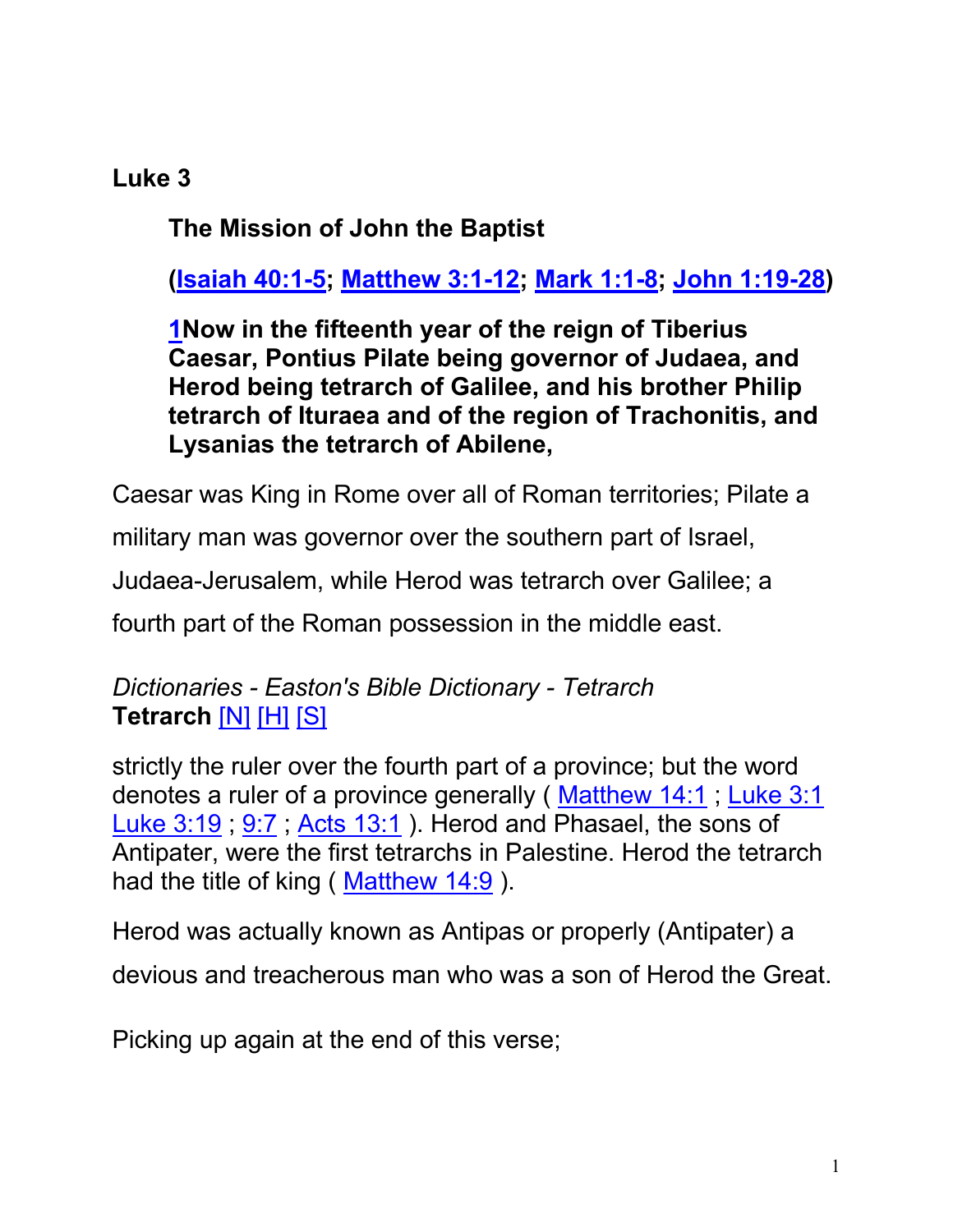#### **Luke 3**

**The Mission of John the Baptist**

**(Isaiah 40:1-5; Matthew 3:1-12; Mark 1:1-8; John 1:19-28)**

**1Now in the fifteenth year of the reign of Tiberius Caesar, Pontius Pilate being governor of Judaea, and Herod being tetrarch of Galilee, and his brother Philip tetrarch of Ituraea and of the region of Trachonitis, and Lysanias the tetrarch of Abilene,**

Caesar was King in Rome over all of Roman territories; Pilate a

military man was governor over the southern part of Israel,

Judaea-Jerusalem, while Herod was tetrarch over Galilee; a

fourth part of the Roman possession in the middle east.

*Dictionaries - Easton's Bible Dictionary - Tetrarch* **Tetrarch** [N] [H] [S]

strictly the ruler over the fourth part of a province; but the word denotes a ruler of a province generally (Matthew 14:1; Luke 3:1) Luke 3:19; 9:7; Acts 13:1). Herod and Phasael, the sons of Antipater, were the first tetrarchs in Palestine. Herod the tetrarch had the title of king (Matthew 14:9).

Herod was actually known as Antipas or properly (Antipater) a devious and treacherous man who was a son of Herod the Great.

Picking up again at the end of this verse;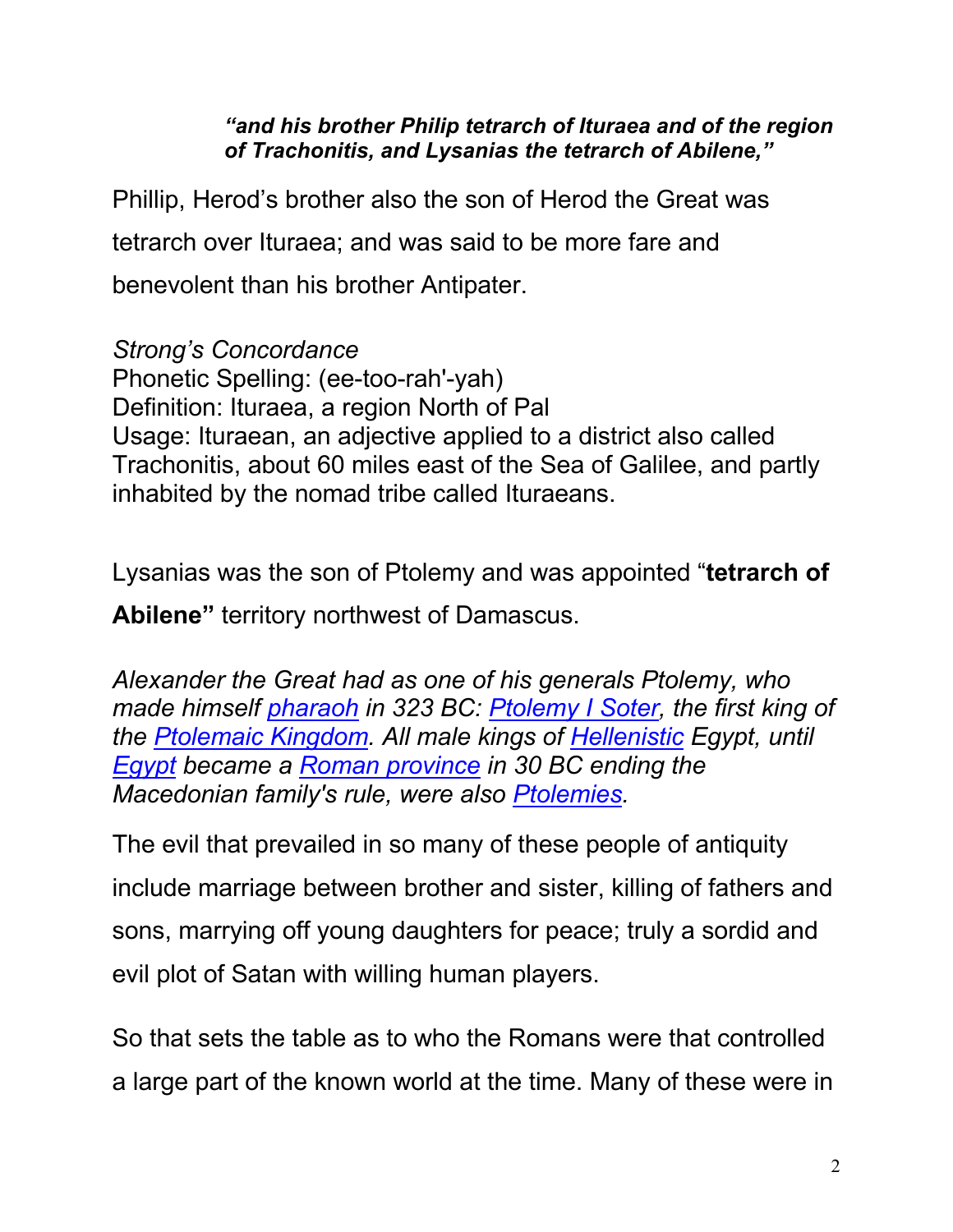*"and his brother Philip tetrarch of Ituraea and of the region of Trachonitis, and Lysanias the tetrarch of Abilene,"*

Phillip, Herod's brother also the son of Herod the Great was tetrarch over Ituraea; and was said to be more fare and benevolent than his brother Antipater.

*Strong's Concordance* Phonetic Spelling: (ee-too-rah'-yah) Definition: Ituraea, a region North of Pal Usage: Ituraean, an adjective applied to a district also called Trachonitis, about 60 miles east of the Sea of Galilee, and partly inhabited by the nomad tribe called Ituraeans.

Lysanias was the son of Ptolemy and was appointed "**tetrarch of** 

**Abilene"** territory northwest of Damascus.

*Alexander the Great had as one of his generals Ptolemy, who made himself pharaoh in 323 BC: Ptolemy I Soter, the first king of the Ptolemaic Kingdom. All male kings of Hellenistic Egypt, until Egypt became a Roman province in 30 BC ending the Macedonian family's rule, were also Ptolemies.* 

The evil that prevailed in so many of these people of antiquity include marriage between brother and sister, killing of fathers and sons, marrying off young daughters for peace; truly a sordid and evil plot of Satan with willing human players.

So that sets the table as to who the Romans were that controlled a large part of the known world at the time. Many of these were in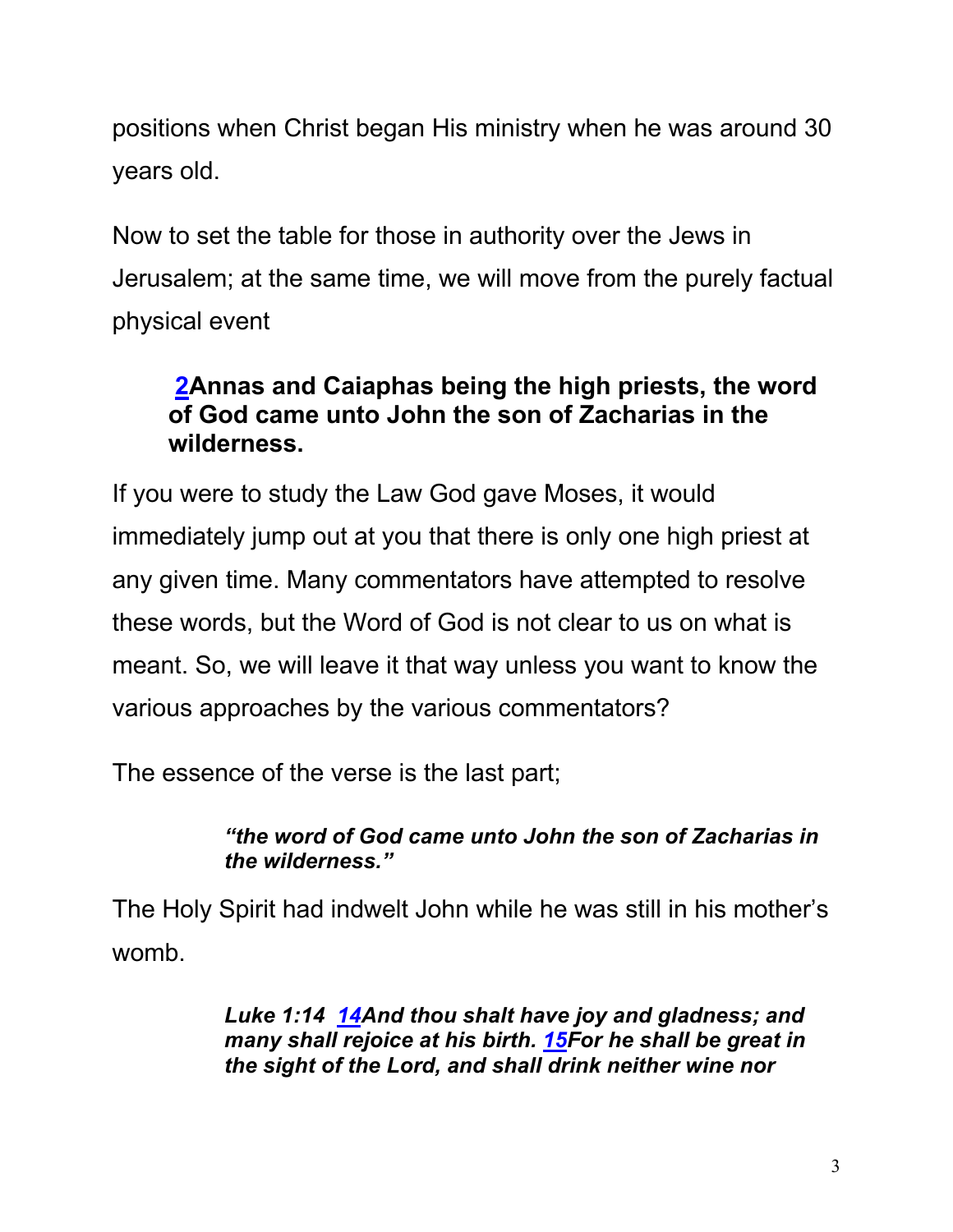positions when Christ began His ministry when he was around 30 years old.

Now to set the table for those in authority over the Jews in Jerusalem; at the same time, we will move from the purely factual physical event

## **2Annas and Caiaphas being the high priests, the word of God came unto John the son of Zacharias in the wilderness.**

If you were to study the Law God gave Moses, it would immediately jump out at you that there is only one high priest at any given time. Many commentators have attempted to resolve these words, but the Word of God is not clear to us on what is meant. So, we will leave it that way unless you want to know the various approaches by the various commentators?

The essence of the verse is the last part;

#### *"the word of God came unto John the son of Zacharias in the wilderness."*

The Holy Spirit had indwelt John while he was still in his mother's womb.

> *Luke 1:14 14And thou shalt have joy and gladness; and many shall rejoice at his birth. 15For he shall be great in the sight of the Lord, and shall drink neither wine nor*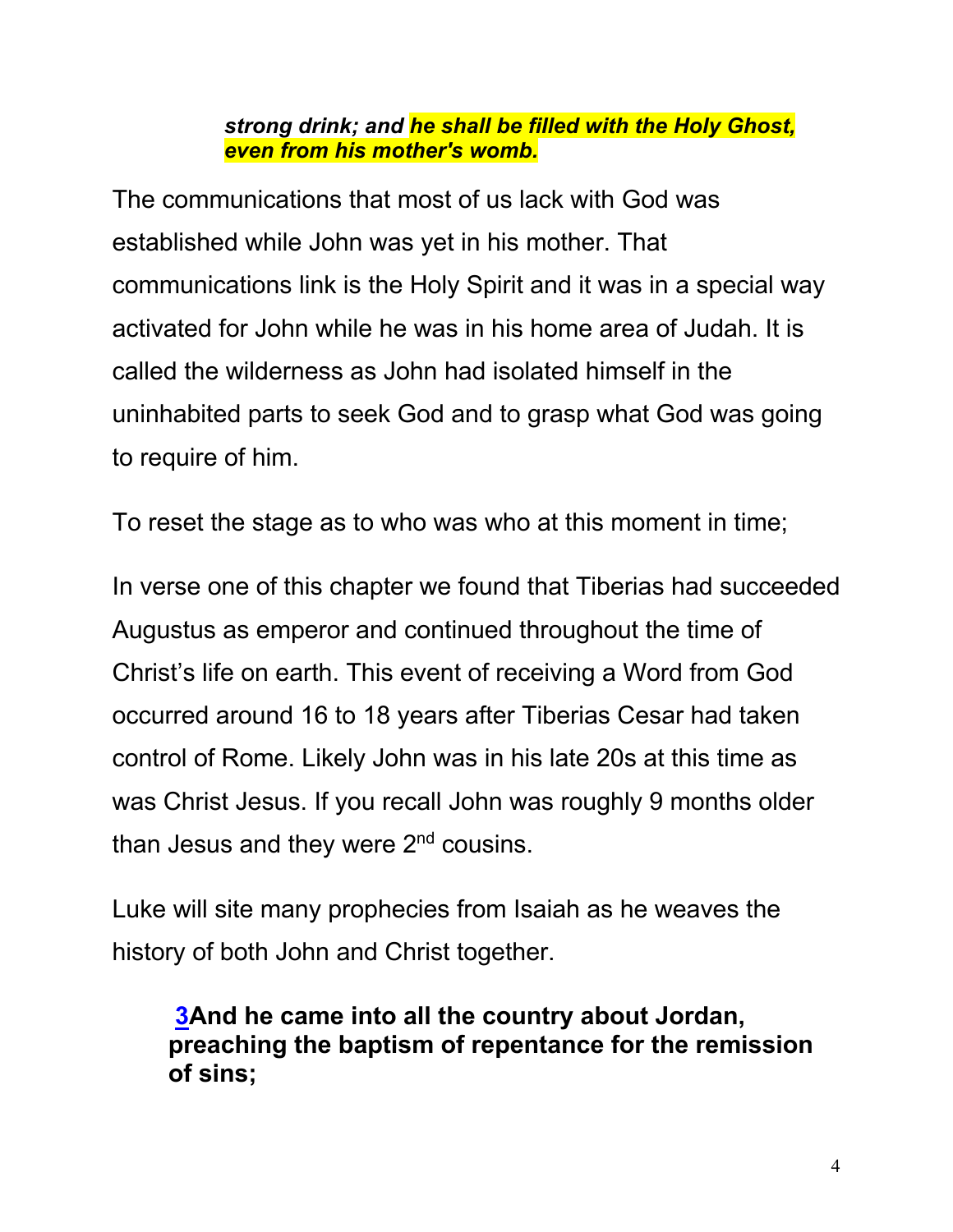#### *strong drink; and he shall be filled with the Holy Ghost, even from his mother's womb.*

The communications that most of us lack with God was established while John was yet in his mother. That communications link is the Holy Spirit and it was in a special way activated for John while he was in his home area of Judah. It is called the wilderness as John had isolated himself in the uninhabited parts to seek God and to grasp what God was going to require of him.

To reset the stage as to who was who at this moment in time;

In verse one of this chapter we found that Tiberias had succeeded Augustus as emperor and continued throughout the time of Christ's life on earth. This event of receiving a Word from God occurred around 16 to 18 years after Tiberias Cesar had taken control of Rome. Likely John was in his late 20s at this time as was Christ Jesus. If you recall John was roughly 9 months older than Jesus and they were  $2<sup>nd</sup>$  cousins.

Luke will site many prophecies from Isaiah as he weaves the history of both John and Christ together.

**3And he came into all the country about Jordan, preaching the baptism of repentance for the remission of sins;**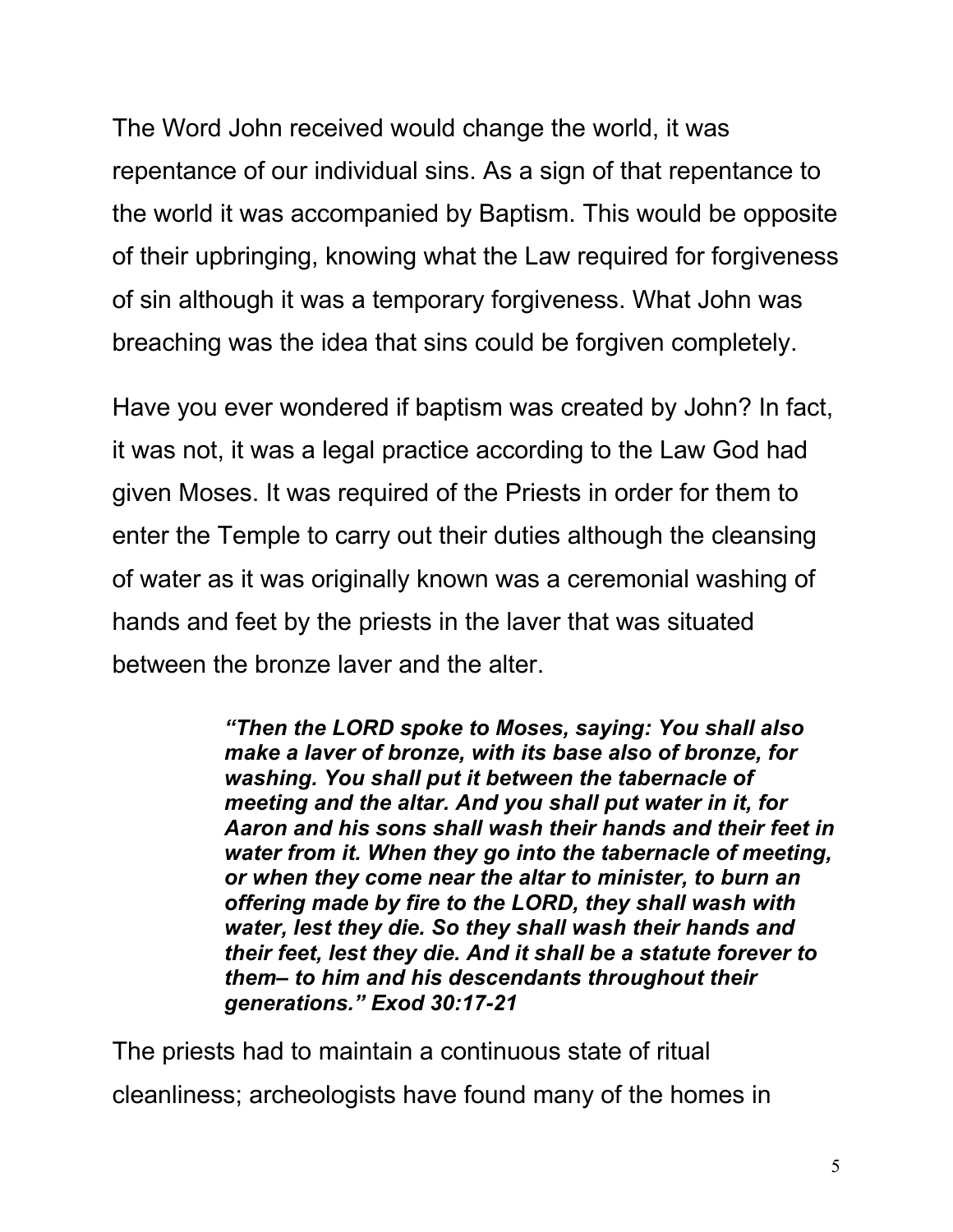The Word John received would change the world, it was repentance of our individual sins. As a sign of that repentance to the world it was accompanied by Baptism. This would be opposite of their upbringing, knowing what the Law required for forgiveness of sin although it was a temporary forgiveness. What John was breaching was the idea that sins could be forgiven completely.

Have you ever wondered if baptism was created by John? In fact, it was not, it was a legal practice according to the Law God had given Moses. It was required of the Priests in order for them to enter the Temple to carry out their duties although the cleansing of water as it was originally known was a ceremonial washing of hands and feet by the priests in the laver that was situated between the bronze laver and the alter.

> *"Then the LORD spoke to Moses, saying: You shall also make a laver of bronze, with its base also of bronze, for washing. You shall put it between the tabernacle of meeting and the altar. And you shall put water in it, for Aaron and his sons shall wash their hands and their feet in water from it. When they go into the tabernacle of meeting, or when they come near the altar to minister, to burn an offering made by fire to the LORD, they shall wash with water, lest they die. So they shall wash their hands and their feet, lest they die. And it shall be a statute forever to them– to him and his descendants throughout their generations." Exod 30:17-21*

The priests had to maintain a continuous state of ritual cleanliness; archeologists have found many of the homes in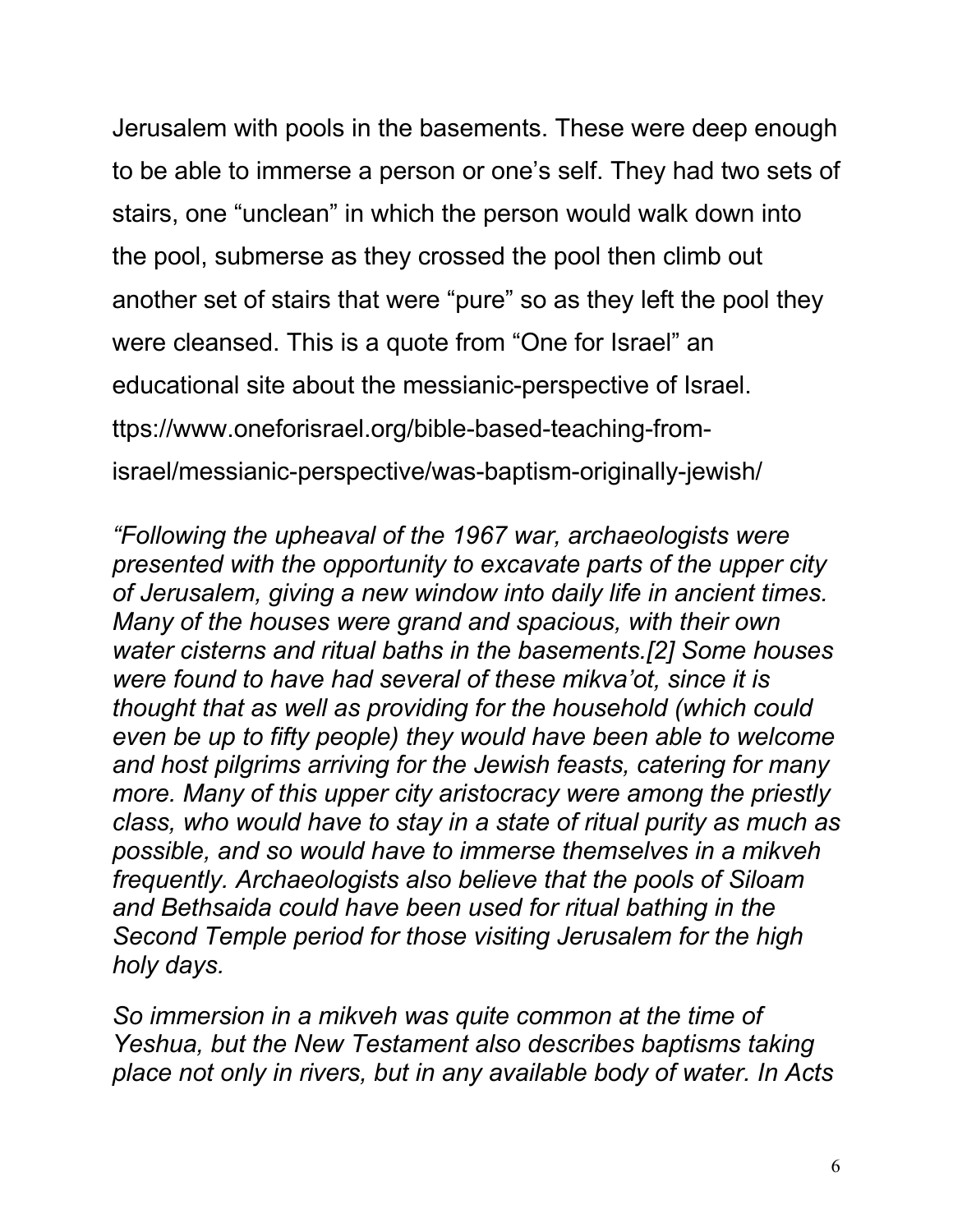Jerusalem with pools in the basements. These were deep enough to be able to immerse a person or one's self. They had two sets of stairs, one "unclean" in which the person would walk down into the pool, submerse as they crossed the pool then climb out another set of stairs that were "pure" so as they left the pool they were cleansed. This is a quote from "One for Israel" an educational site about the messianic-perspective of Israel. ttps://www.oneforisrael.org/bible-based-teaching-fromisrael/messianic-perspective/was-baptism-originally-jewish/

*"Following the upheaval of the 1967 war, archaeologists were presented with the opportunity to excavate parts of the upper city of Jerusalem, giving a new window into daily life in ancient times. Many of the houses were grand and spacious, with their own water cisterns and ritual baths in the basements.[2] Some houses were found to have had several of these mikva'ot, since it is thought that as well as providing for the household (which could even be up to fifty people) they would have been able to welcome and host pilgrims arriving for the Jewish feasts, catering for many more. Many of this upper city aristocracy were among the priestly class, who would have to stay in a state of ritual purity as much as possible, and so would have to immerse themselves in a mikveh frequently. Archaeologists also believe that the pools of Siloam and Bethsaida could have been used for ritual bathing in the Second Temple period for those visiting Jerusalem for the high holy days.*

*So immersion in a mikveh was quite common at the time of Yeshua, but the New Testament also describes baptisms taking place not only in rivers, but in any available body of water. In Acts*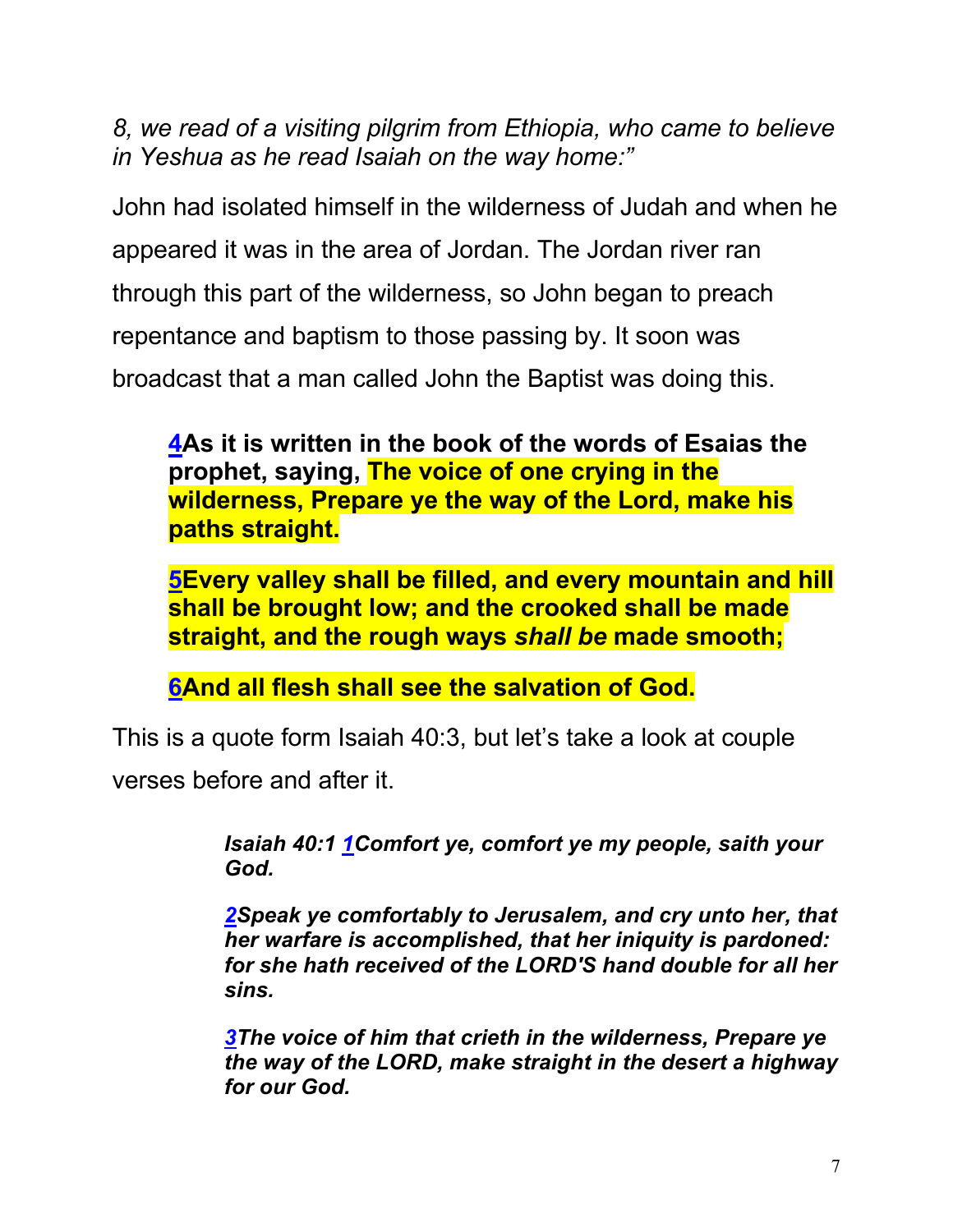*8, we read of a visiting pilgrim from Ethiopia, who came to believe in Yeshua as he read Isaiah on the way home:"*

John had isolated himself in the wilderness of Judah and when he appeared it was in the area of Jordan. The Jordan river ran through this part of the wilderness, so John began to preach repentance and baptism to those passing by. It soon was broadcast that a man called John the Baptist was doing this.

**4As it is written in the book of the words of Esaias the prophet, saying, The voice of one crying in the wilderness, Prepare ye the way of the Lord, make his paths straight.**

**5Every valley shall be filled, and every mountain and hill shall be brought low; and the crooked shall be made straight, and the rough ways** *shall be* **made smooth;**

**6And all flesh shall see the salvation of God.**

This is a quote form Isaiah 40:3, but let's take a look at couple

verses before and after it.

*Isaiah 40:1 1Comfort ye, comfort ye my people, saith your God.*

*2Speak ye comfortably to Jerusalem, and cry unto her, that her warfare is accomplished, that her iniquity is pardoned: for she hath received of the LORD'S hand double for all her sins.*

*3The voice of him that crieth in the wilderness, Prepare ye the way of the LORD, make straight in the desert a highway for our God.*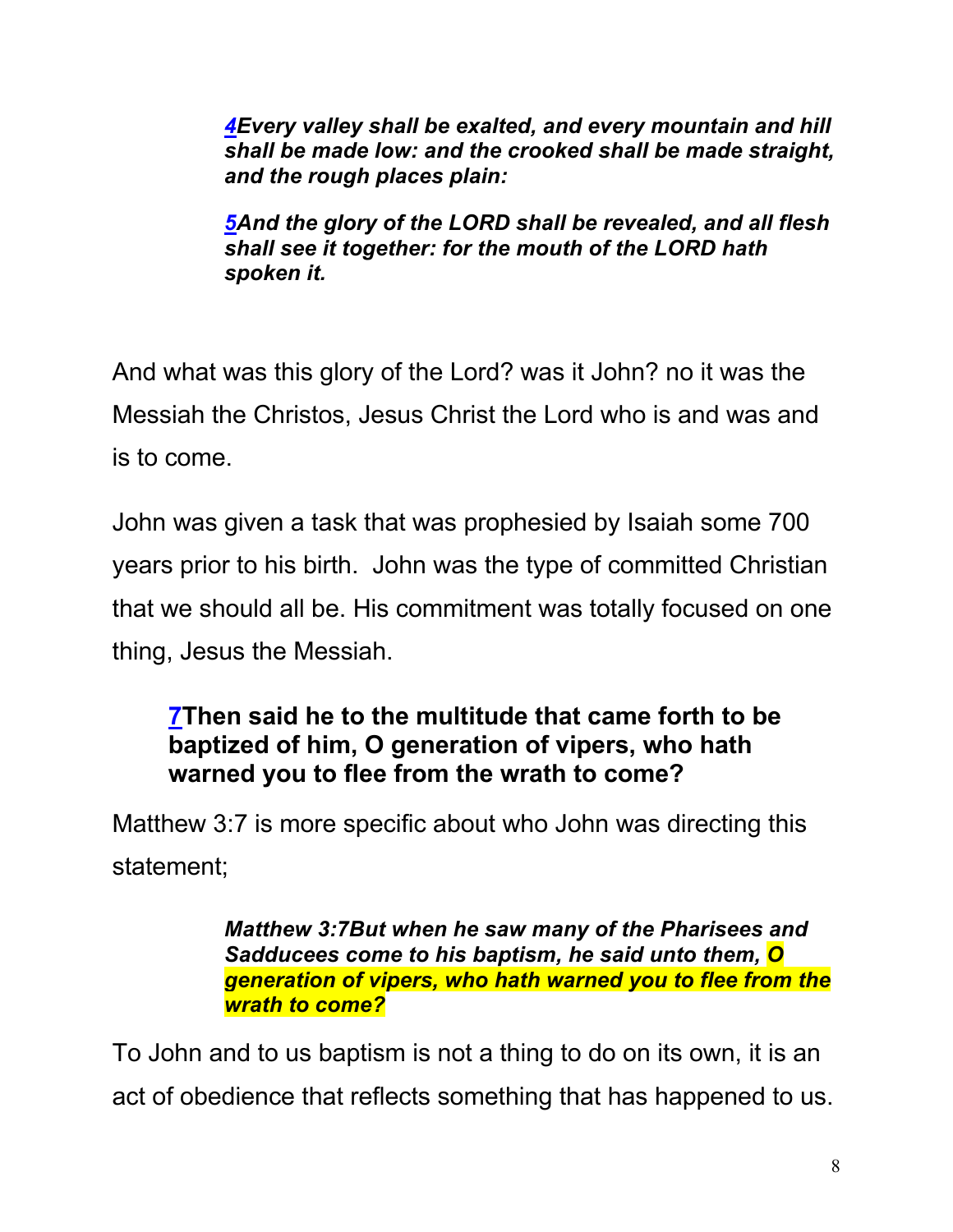*4Every valley shall be exalted, and every mountain and hill shall be made low: and the crooked shall be made straight, and the rough places plain:*

*5And the glory of the LORD shall be revealed, and all flesh shall see it together: for the mouth of the LORD hath spoken it.*

And what was this glory of the Lord? was it John? no it was the Messiah the Christos, Jesus Christ the Lord who is and was and is to come.

John was given a task that was prophesied by Isaiah some 700 years prior to his birth. John was the type of committed Christian that we should all be. His commitment was totally focused on one thing, Jesus the Messiah.

## **7Then said he to the multitude that came forth to be baptized of him, O generation of vipers, who hath warned you to flee from the wrath to come?**

Matthew 3:7 is more specific about who John was directing this statement;

> *Matthew 3:7But when he saw many of the Pharisees and Sadducees come to his baptism, he said unto them, O generation of vipers, who hath warned you to flee from the wrath to come?*

To John and to us baptism is not a thing to do on its own, it is an act of obedience that reflects something that has happened to us.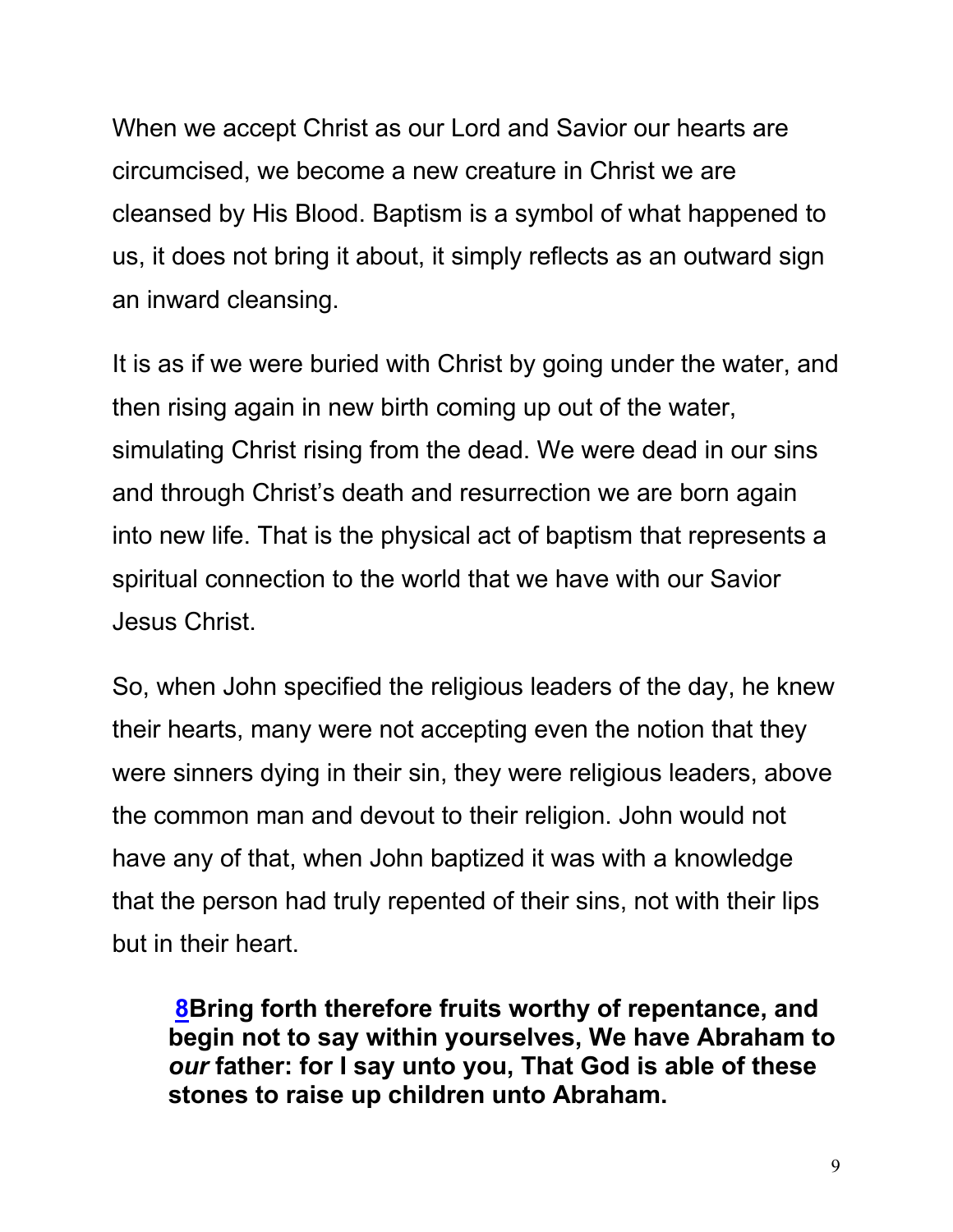When we accept Christ as our Lord and Savior our hearts are circumcised, we become a new creature in Christ we are cleansed by His Blood. Baptism is a symbol of what happened to us, it does not bring it about, it simply reflects as an outward sign an inward cleansing.

It is as if we were buried with Christ by going under the water, and then rising again in new birth coming up out of the water, simulating Christ rising from the dead. We were dead in our sins and through Christ's death and resurrection we are born again into new life. That is the physical act of baptism that represents a spiritual connection to the world that we have with our Savior Jesus Christ.

So, when John specified the religious leaders of the day, he knew their hearts, many were not accepting even the notion that they were sinners dying in their sin, they were religious leaders, above the common man and devout to their religion. John would not have any of that, when John baptized it was with a knowledge that the person had truly repented of their sins, not with their lips but in their heart.

**8Bring forth therefore fruits worthy of repentance, and begin not to say within yourselves, We have Abraham to**  *our* **father: for I say unto you, That God is able of these stones to raise up children unto Abraham.**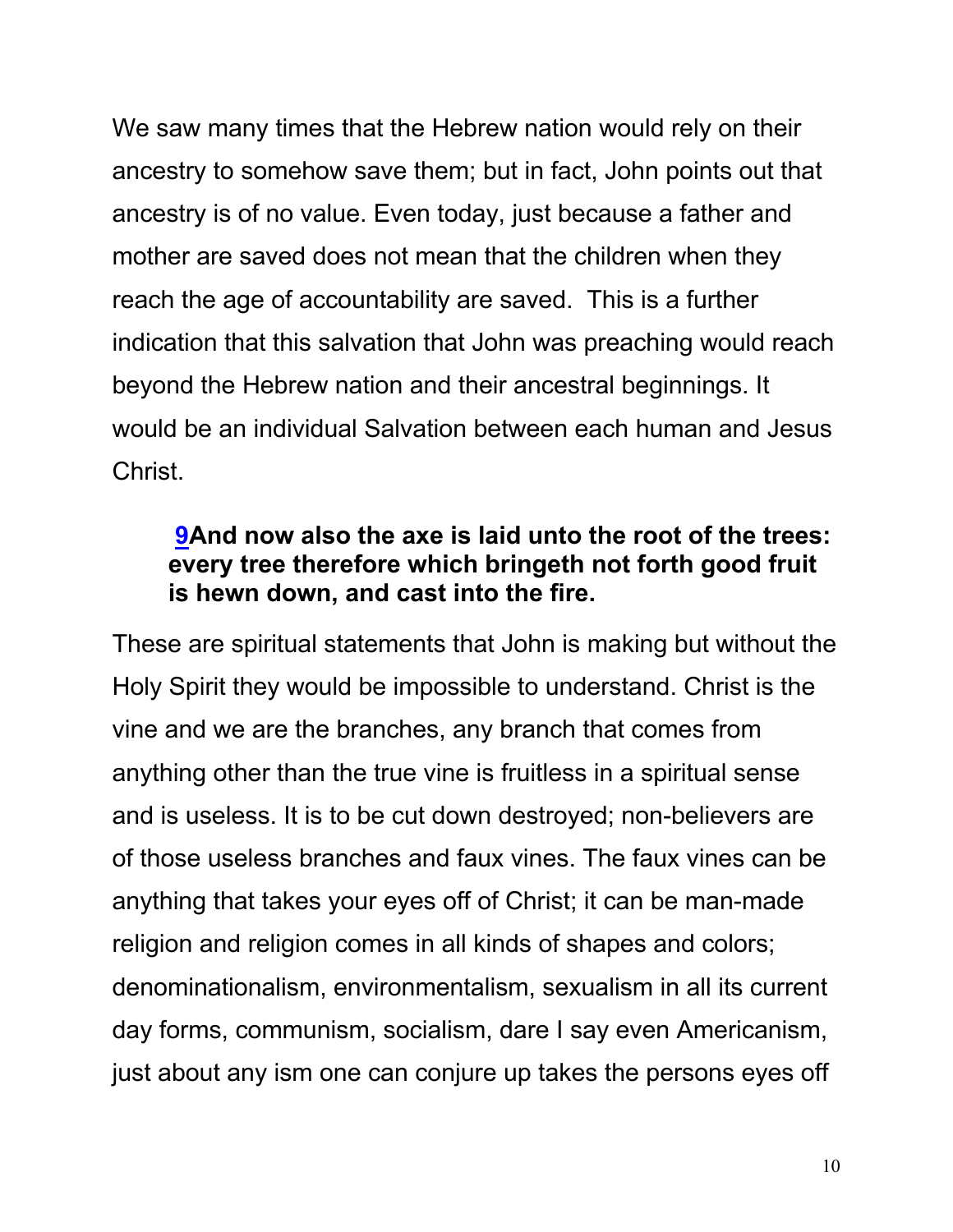We saw many times that the Hebrew nation would rely on their ancestry to somehow save them; but in fact, John points out that ancestry is of no value. Even today, just because a father and mother are saved does not mean that the children when they reach the age of accountability are saved. This is a further indication that this salvation that John was preaching would reach beyond the Hebrew nation and their ancestral beginnings. It would be an individual Salvation between each human and Jesus Christ.

#### **9And now also the axe is laid unto the root of the trees: every tree therefore which bringeth not forth good fruit is hewn down, and cast into the fire.**

These are spiritual statements that John is making but without the Holy Spirit they would be impossible to understand. Christ is the vine and we are the branches, any branch that comes from anything other than the true vine is fruitless in a spiritual sense and is useless. It is to be cut down destroyed; non-believers are of those useless branches and faux vines. The faux vines can be anything that takes your eyes off of Christ; it can be man-made religion and religion comes in all kinds of shapes and colors; denominationalism, environmentalism, sexualism in all its current day forms, communism, socialism, dare I say even Americanism, just about any ism one can conjure up takes the persons eyes off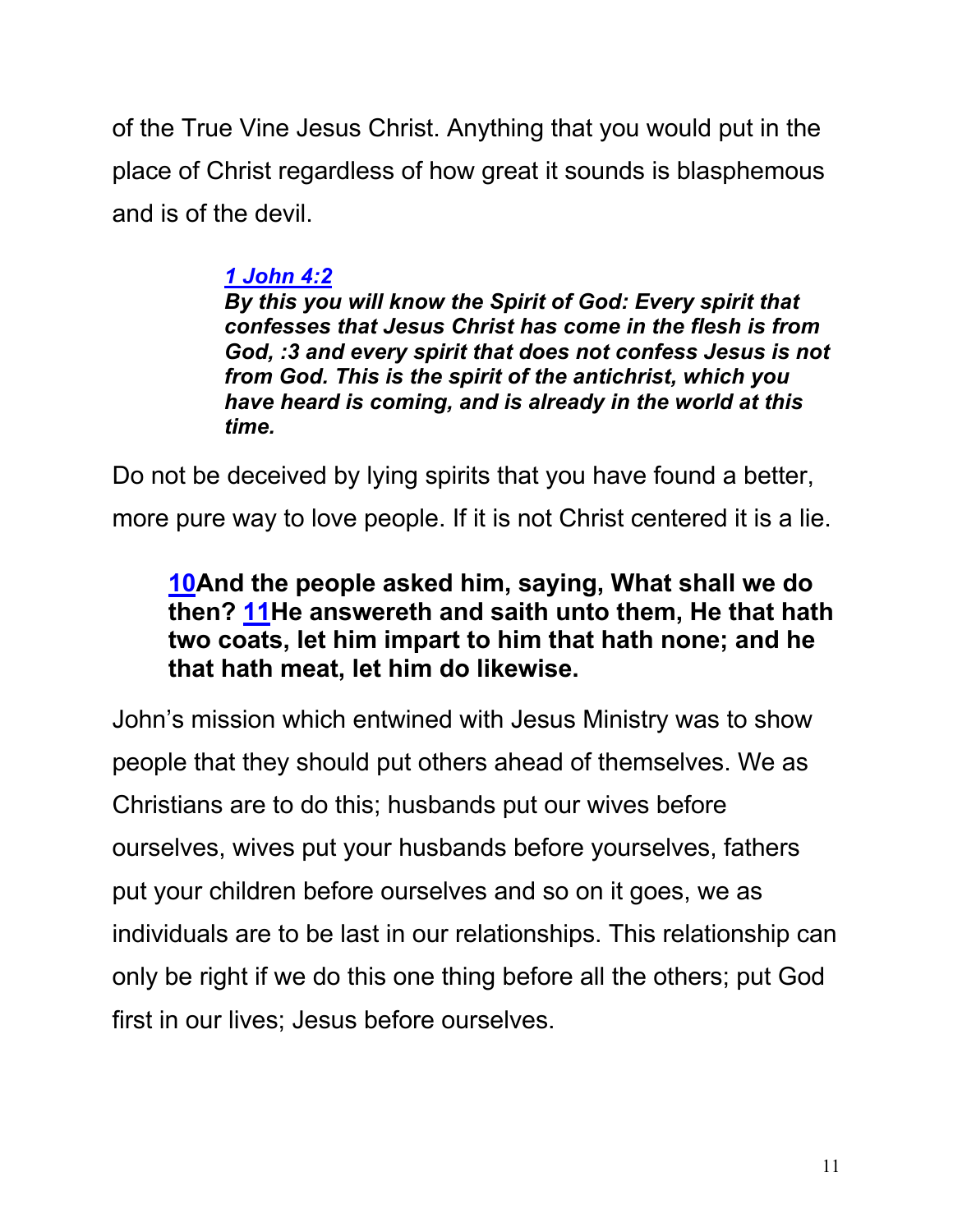of the True Vine Jesus Christ. Anything that you would put in the place of Christ regardless of how great it sounds is blasphemous and is of the devil.

### *1 John 4:2*

*By this you will know the Spirit of God: Every spirit that confesses that Jesus Christ has come in the flesh is from God, :3 and every spirit that does not confess Jesus is not from God. This is the spirit of the antichrist, which you have heard is coming, and is already in the world at this time.*

Do not be deceived by lying spirits that you have found a better, more pure way to love people. If it is not Christ centered it is a lie.

### **10And the people asked him, saying, What shall we do then? 11He answereth and saith unto them, He that hath two coats, let him impart to him that hath none; and he that hath meat, let him do likewise.**

John's mission which entwined with Jesus Ministry was to show people that they should put others ahead of themselves. We as Christians are to do this; husbands put our wives before ourselves, wives put your husbands before yourselves, fathers put your children before ourselves and so on it goes, we as individuals are to be last in our relationships. This relationship can only be right if we do this one thing before all the others; put God first in our lives; Jesus before ourselves.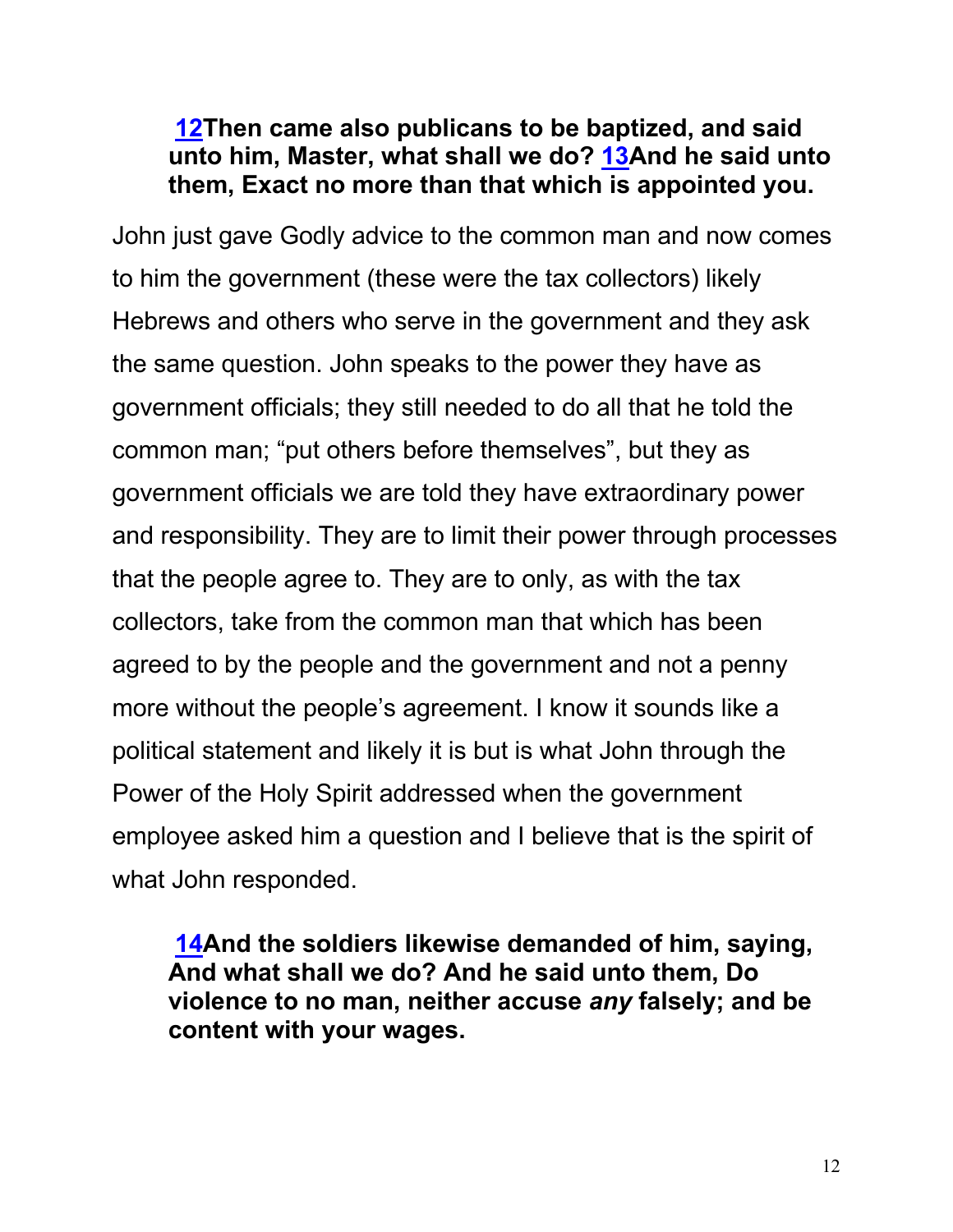#### **12Then came also publicans to be baptized, and said unto him, Master, what shall we do? 13And he said unto them, Exact no more than that which is appointed you.**

John just gave Godly advice to the common man and now comes to him the government (these were the tax collectors) likely Hebrews and others who serve in the government and they ask the same question. John speaks to the power they have as government officials; they still needed to do all that he told the common man; "put others before themselves", but they as government officials we are told they have extraordinary power and responsibility. They are to limit their power through processes that the people agree to. They are to only, as with the tax collectors, take from the common man that which has been agreed to by the people and the government and not a penny more without the people's agreement. I know it sounds like a political statement and likely it is but is what John through the Power of the Holy Spirit addressed when the government employee asked him a question and I believe that is the spirit of what John responded.

**14And the soldiers likewise demanded of him, saying, And what shall we do? And he said unto them, Do violence to no man, neither accuse** *any* **falsely; and be content with your wages.**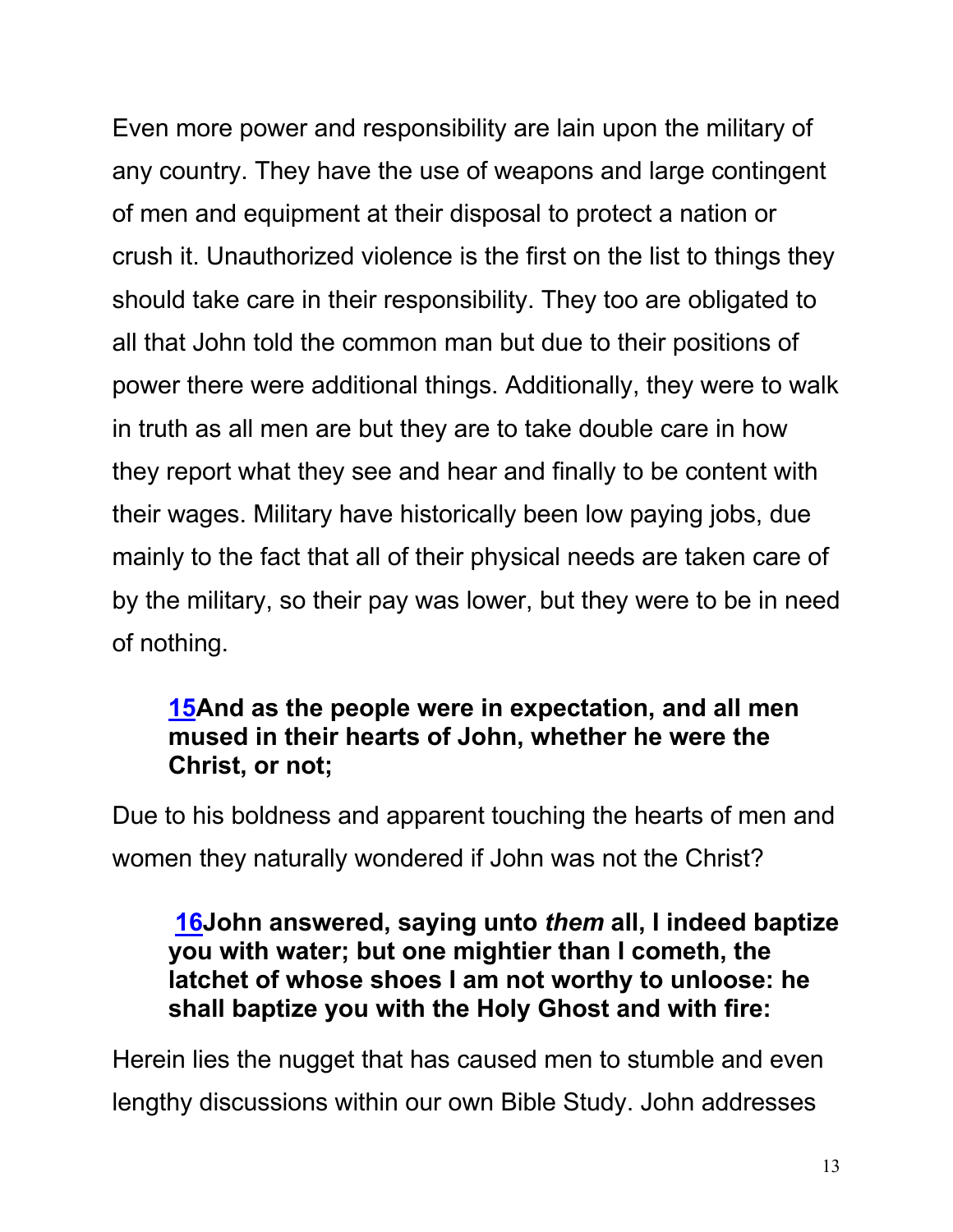Even more power and responsibility are lain upon the military of any country. They have the use of weapons and large contingent of men and equipment at their disposal to protect a nation or crush it. Unauthorized violence is the first on the list to things they should take care in their responsibility. They too are obligated to all that John told the common man but due to their positions of power there were additional things. Additionally, they were to walk in truth as all men are but they are to take double care in how they report what they see and hear and finally to be content with their wages. Military have historically been low paying jobs, due mainly to the fact that all of their physical needs are taken care of by the military, so their pay was lower, but they were to be in need of nothing.

#### **15And as the people were in expectation, and all men mused in their hearts of John, whether he were the Christ, or not;**

Due to his boldness and apparent touching the hearts of men and women they naturally wondered if John was not the Christ?

#### **16John answered, saying unto** *them* **all, I indeed baptize you with water; but one mightier than I cometh, the latchet of whose shoes I am not worthy to unloose: he shall baptize you with the Holy Ghost and with fire:**

Herein lies the nugget that has caused men to stumble and even lengthy discussions within our own Bible Study. John addresses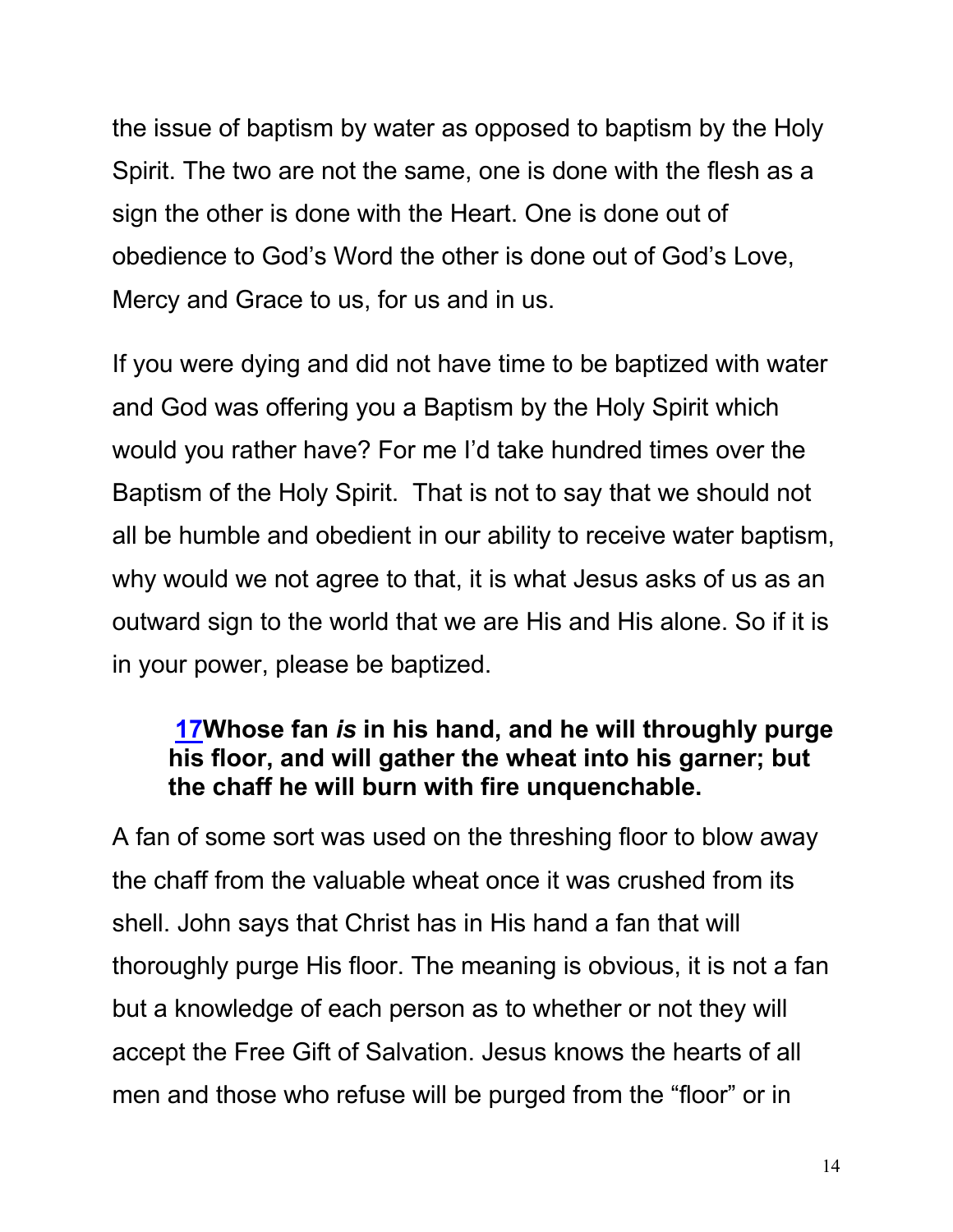the issue of baptism by water as opposed to baptism by the Holy Spirit. The two are not the same, one is done with the flesh as a sign the other is done with the Heart. One is done out of obedience to God's Word the other is done out of God's Love, Mercy and Grace to us, for us and in us.

If you were dying and did not have time to be baptized with water and God was offering you a Baptism by the Holy Spirit which would you rather have? For me I'd take hundred times over the Baptism of the Holy Spirit. That is not to say that we should not all be humble and obedient in our ability to receive water baptism, why would we not agree to that, it is what Jesus asks of us as an outward sign to the world that we are His and His alone. So if it is in your power, please be baptized.

#### **17Whose fan** *is* **in his hand, and he will throughly purge his floor, and will gather the wheat into his garner; but the chaff he will burn with fire unquenchable.**

A fan of some sort was used on the threshing floor to blow away the chaff from the valuable wheat once it was crushed from its shell. John says that Christ has in His hand a fan that will thoroughly purge His floor. The meaning is obvious, it is not a fan but a knowledge of each person as to whether or not they will accept the Free Gift of Salvation. Jesus knows the hearts of all men and those who refuse will be purged from the "floor" or in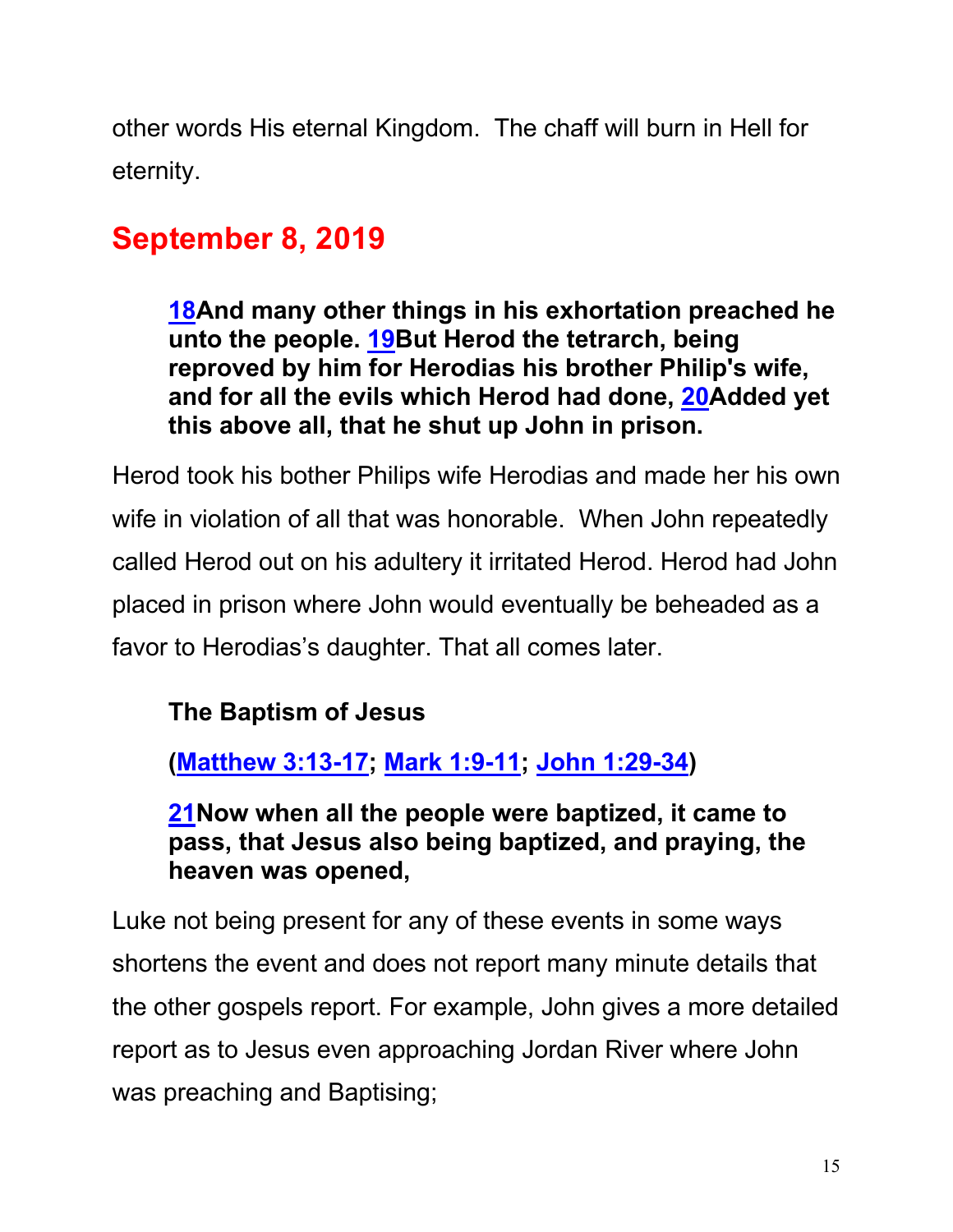other words His eternal Kingdom. The chaff will burn in Hell for eternity.

# **September 8, 2019**

**18And many other things in his exhortation preached he unto the people. 19But Herod the tetrarch, being reproved by him for Herodias his brother Philip's wife, and for all the evils which Herod had done, 20Added yet this above all, that he shut up John in prison.**

Herod took his bother Philips wife Herodias and made her his own wife in violation of all that was honorable. When John repeatedly called Herod out on his adultery it irritated Herod. Herod had John placed in prison where John would eventually be beheaded as a favor to Herodias's daughter. That all comes later.

# **The Baptism of Jesus**

**(Matthew 3:13-17; Mark 1:9-11; John 1:29-34)**

**21Now when all the people were baptized, it came to pass, that Jesus also being baptized, and praying, the heaven was opened,**

Luke not being present for any of these events in some ways shortens the event and does not report many minute details that the other gospels report. For example, John gives a more detailed report as to Jesus even approaching Jordan River where John was preaching and Baptising;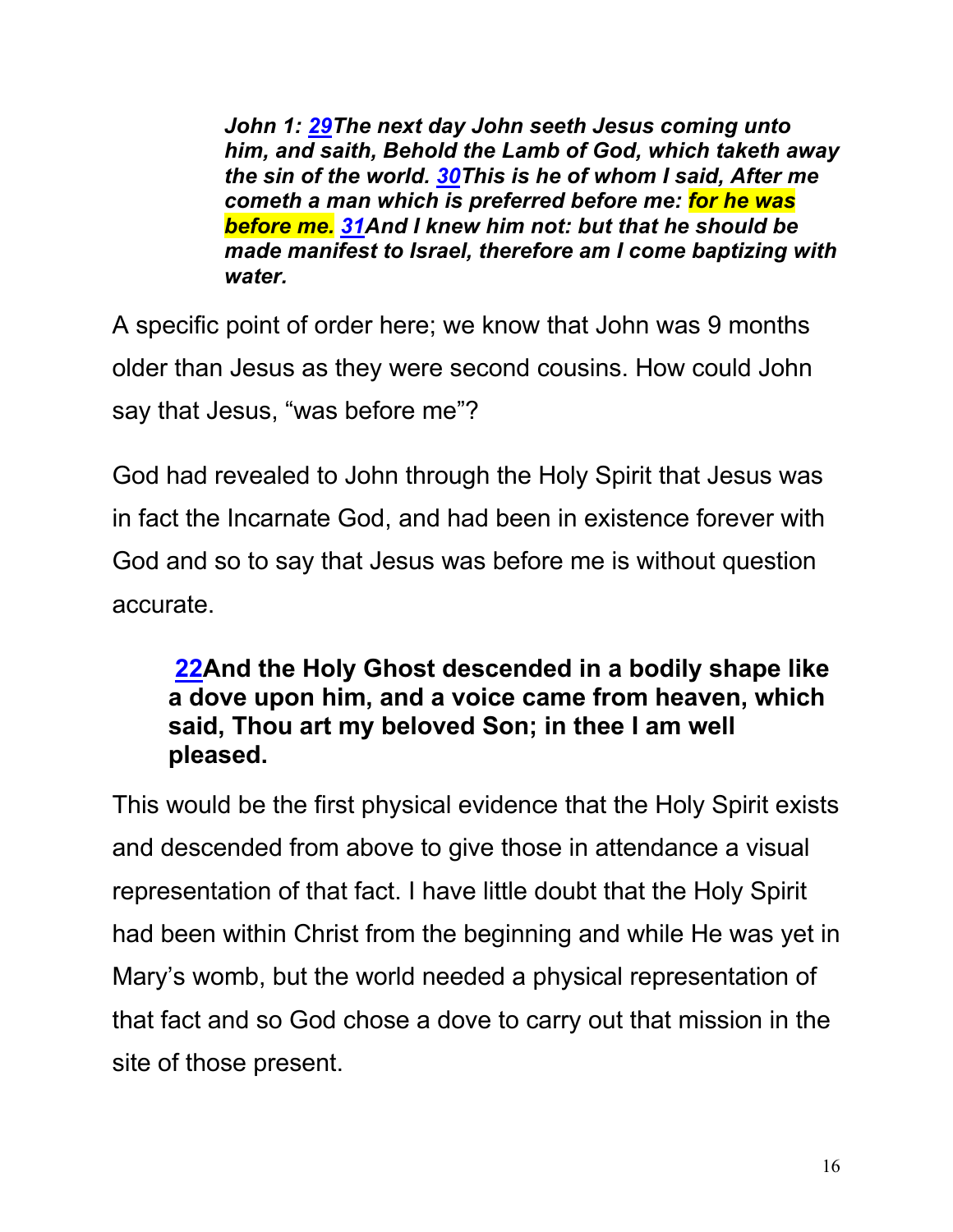*John 1: 29The next day John seeth Jesus coming unto him, and saith, Behold the Lamb of God, which taketh away the sin of the world. 30This is he of whom I said, After me cometh a man which is preferred before me: for he was before me. 31And I knew him not: but that he should be made manifest to Israel, therefore am I come baptizing with water.* 

A specific point of order here; we know that John was 9 months older than Jesus as they were second cousins. How could John say that Jesus, "was before me"?

God had revealed to John through the Holy Spirit that Jesus was in fact the Incarnate God, and had been in existence forever with God and so to say that Jesus was before me is without question accurate.

#### **22And the Holy Ghost descended in a bodily shape like a dove upon him, and a voice came from heaven, which said, Thou art my beloved Son; in thee I am well pleased.**

This would be the first physical evidence that the Holy Spirit exists and descended from above to give those in attendance a visual representation of that fact. I have little doubt that the Holy Spirit had been within Christ from the beginning and while He was yet in Mary's womb, but the world needed a physical representation of that fact and so God chose a dove to carry out that mission in the site of those present.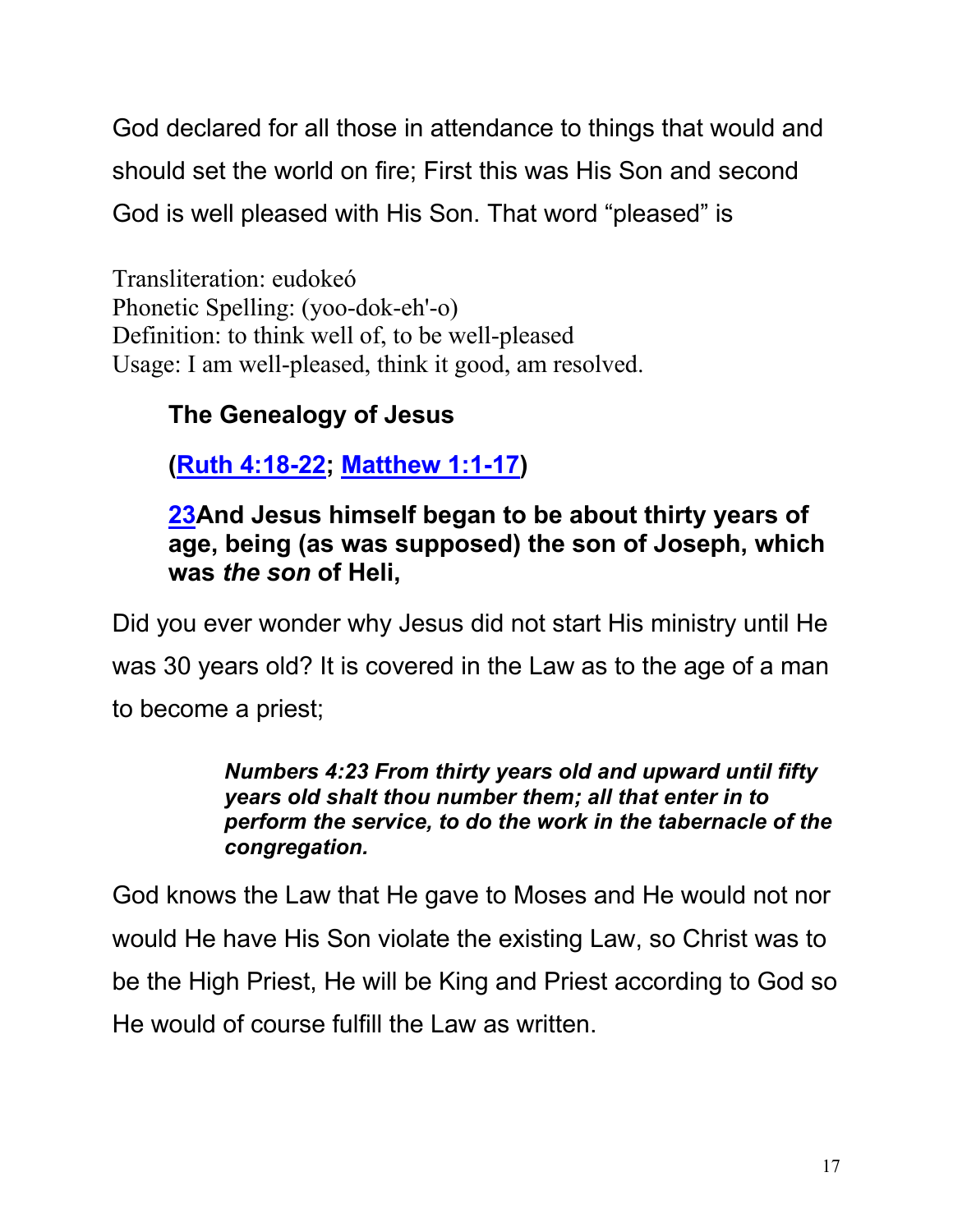God declared for all those in attendance to things that would and should set the world on fire; First this was His Son and second God is well pleased with His Son. That word "pleased" is

Transliteration: eudokeó Phonetic Spelling: (yoo-dok-eh'-o) Definition: to think well of, to be well-pleased Usage: I am well-pleased, think it good, am resolved.

# **The Genealogy of Jesus**

**(Ruth 4:18-22; Matthew 1:1-17)**

#### **23And Jesus himself began to be about thirty years of age, being (as was supposed) the son of Joseph, which was** *the son* **of Heli,**

Did you ever wonder why Jesus did not start His ministry until He was 30 years old? It is covered in the Law as to the age of a man to become a priest;

#### *Numbers 4:23 From thirty years old and upward until fifty years old shalt thou number them; all that enter in to perform the service, to do the work in the tabernacle of the congregation.*

God knows the Law that He gave to Moses and He would not nor would He have His Son violate the existing Law, so Christ was to be the High Priest, He will be King and Priest according to God so He would of course fulfill the Law as written.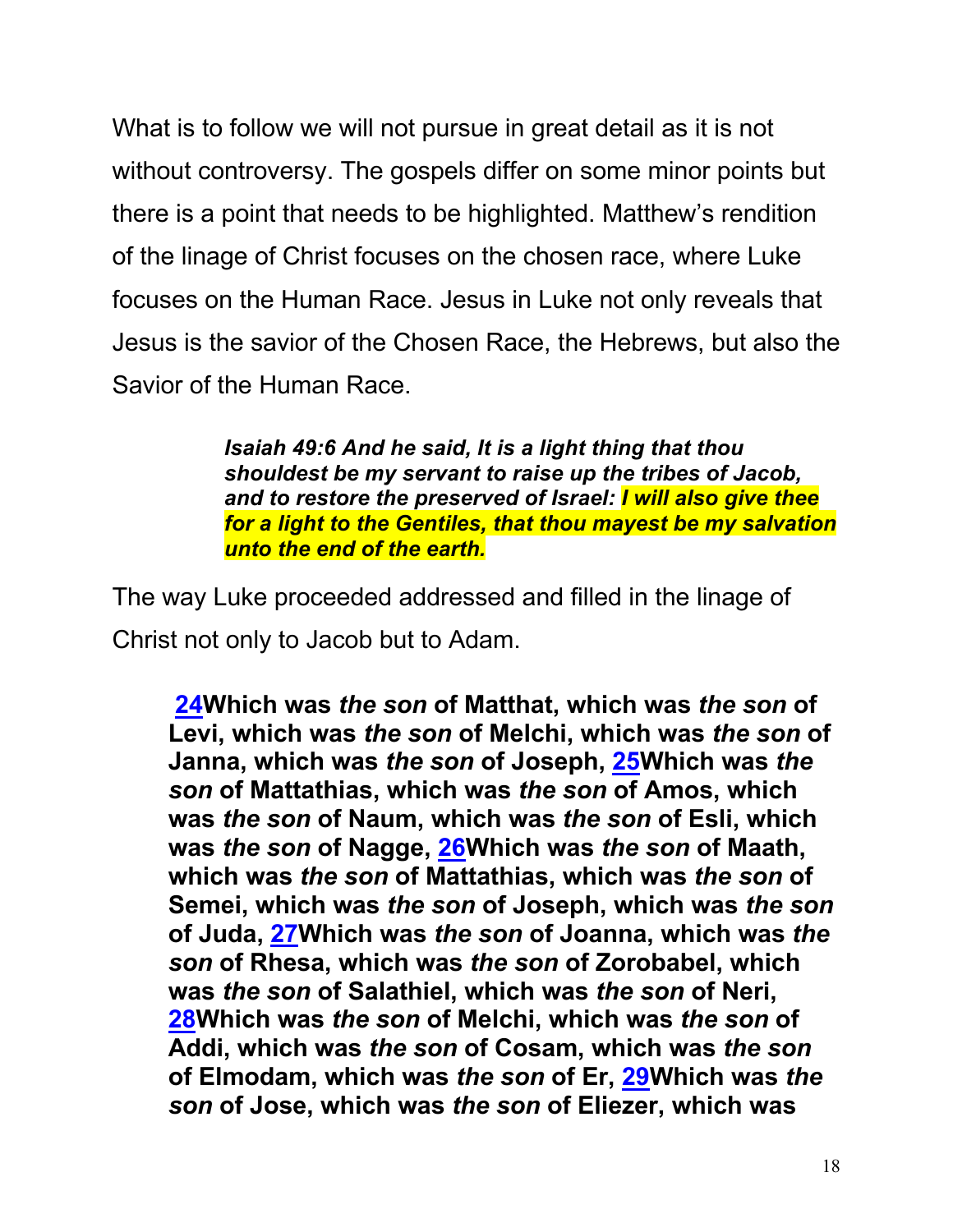What is to follow we will not pursue in great detail as it is not without controversy. The gospels differ on some minor points but there is a point that needs to be highlighted. Matthew's rendition of the linage of Christ focuses on the chosen race, where Luke focuses on the Human Race. Jesus in Luke not only reveals that Jesus is the savior of the Chosen Race, the Hebrews, but also the Savior of the Human Race.

> *Isaiah 49:6 And he said, It is a light thing that thou shouldest be my servant to raise up the tribes of Jacob, and to restore the preserved of Israel: I will also give thee for a light to the Gentiles, that thou mayest be my salvation unto the end of the earth.*

The way Luke proceeded addressed and filled in the linage of Christ not only to Jacob but to Adam.

**24Which was** *the son* **of Matthat, which was** *the son* **of Levi, which was** *the son* **of Melchi, which was** *the son* **of Janna, which was** *the son* **of Joseph, 25Which was** *the son* **of Mattathias, which was** *the son* **of Amos, which was** *the son* **of Naum, which was** *the son* **of Esli, which was** *the son* **of Nagge, 26Which was** *the son* **of Maath, which was** *the son* **of Mattathias, which was** *the son* **of Semei, which was** *the son* **of Joseph, which was** *the son* **of Juda, 27Which was** *the son* **of Joanna, which was** *the son* **of Rhesa, which was** *the son* **of Zorobabel, which was** *the son* **of Salathiel, which was** *the son* **of Neri, 28Which was** *the son* **of Melchi, which was** *the son* **of Addi, which was** *the son* **of Cosam, which was** *the son* **of Elmodam, which was** *the son* **of Er, 29Which was** *the son* **of Jose, which was** *the son* **of Eliezer, which was**